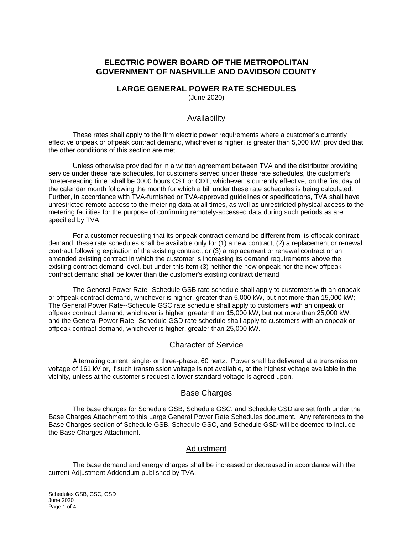# **ELECTRIC POWER BOARD OF THE METROPOLITAN GOVERNMENT OF NASHVILLE AND DAVIDSON COUNTY**

## **LARGE GENERAL POWER RATE SCHEDULES**

(June 2020)

#### Availability

These rates shall apply to the firm electric power requirements where a customer's currently effective onpeak or offpeak contract demand, whichever is higher, is greater than 5,000 kW; provided that the other conditions of this section are met.

Unless otherwise provided for in a written agreement between TVA and the distributor providing service under these rate schedules, for customers served under these rate schedules, the customer's "meter-reading time" shall be 0000 hours CST or CDT, whichever is currently effective, on the first day of the calendar month following the month for which a bill under these rate schedules is being calculated. Further, in accordance with TVA-furnished or TVA-approved guidelines or specifications, TVA shall have unrestricted remote access to the metering data at all times, as well as unrestricted physical access to the metering facilities for the purpose of confirming remotely-accessed data during such periods as are specified by TVA.

For a customer requesting that its onpeak contract demand be different from its offpeak contract demand, these rate schedules shall be available only for (1) a new contract, (2) a replacement or renewal contract following expiration of the existing contract, or (3) a replacement or renewal contract or an amended existing contract in which the customer is increasing its demand requirements above the existing contract demand level, but under this item (3) neither the new onpeak nor the new offpeak contract demand shall be lower than the customer's existing contract demand

The General Power Rate--Schedule GSB rate schedule shall apply to customers with an onpeak or offpeak contract demand, whichever is higher, greater than 5,000 kW, but not more than 15,000 kW; The General Power Rate--Schedule GSC rate schedule shall apply to customers with an onpeak or offpeak contract demand, whichever is higher, greater than 15,000 kW, but not more than 25,000 kW; and the General Power Rate--Schedule GSD rate schedule shall apply to customers with an onpeak or offpeak contract demand, whichever is higher, greater than 25,000 kW.

#### Character of Service

Alternating current, single- or three-phase, 60 hertz. Power shall be delivered at a transmission voltage of 161 kV or, if such transmission voltage is not available, at the highest voltage available in the vicinity, unless at the customer's request a lower standard voltage is agreed upon.

#### Base Charges

The base charges for Schedule GSB, Schedule GSC, and Schedule GSD are set forth under the Base Charges Attachment to this Large General Power Rate Schedules document. Any references to the Base Charges section of Schedule GSB, Schedule GSC, and Schedule GSD will be deemed to include the Base Charges Attachment.

#### Adjustment

The base demand and energy charges shall be increased or decreased in accordance with the current Adjustment Addendum published by TVA.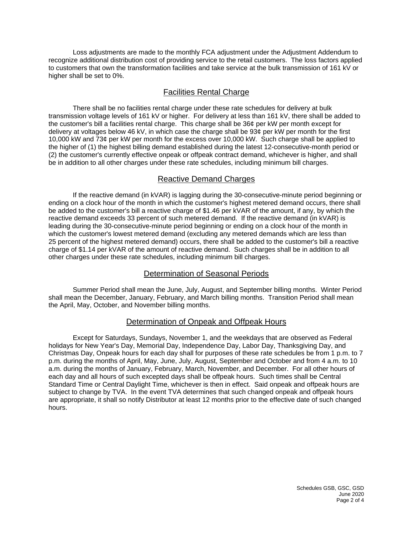Loss adjustments are made to the monthly FCA adjustment under the Adjustment Addendum to recognize additional distribution cost of providing service to the retail customers. The loss factors applied to customers that own the transformation facilities and take service at the bulk transmission of 161 kV or higher shall be set to 0%.

## Facilities Rental Charge

There shall be no facilities rental charge under these rate schedules for delivery at bulk transmission voltage levels of 161 kV or higher. For delivery at less than 161 kV, there shall be added to the customer's bill a facilities rental charge. This charge shall be 36¢ per kW per month except for delivery at voltages below 46 kV, in which case the charge shall be 93¢ per kW per month for the first 10,000 kW and 73¢ per kW per month for the excess over 10,000 kW. Such charge shall be applied to the higher of (1) the highest billing demand established during the latest 12-consecutive-month period or (2) the customer's currently effective onpeak or offpeak contract demand, whichever is higher, and shall be in addition to all other charges under these rate schedules, including minimum bill charges.

## Reactive Demand Charges

If the reactive demand (in kVAR) is lagging during the 30-consecutive-minute period beginning or ending on a clock hour of the month in which the customer's highest metered demand occurs, there shall be added to the customer's bill a reactive charge of \$1.46 per kVAR of the amount, if any, by which the reactive demand exceeds 33 percent of such metered demand. If the reactive demand (in kVAR) is leading during the 30-consecutive-minute period beginning or ending on a clock hour of the month in which the customer's lowest metered demand (excluding any metered demands which are less than 25 percent of the highest metered demand) occurs, there shall be added to the customer's bill a reactive charge of \$1.14 per kVAR of the amount of reactive demand. Such charges shall be in addition to all other charges under these rate schedules, including minimum bill charges.

## Determination of Seasonal Periods

Summer Period shall mean the June, July, August, and September billing months. Winter Period shall mean the December, January, February, and March billing months. Transition Period shall mean the April, May, October, and November billing months.

## Determination of Onpeak and Offpeak Hours

Except for Saturdays, Sundays, November 1, and the weekdays that are observed as Federal holidays for New Year's Day, Memorial Day, Independence Day, Labor Day, Thanksgiving Day, and Christmas Day, Onpeak hours for each day shall for purposes of these rate schedules be from 1 p.m. to 7 p.m. during the months of April, May, June, July, August, September and October and from 4 a.m. to 10 a.m. during the months of January, February, March, November, and December. For all other hours of each day and all hours of such excepted days shall be offpeak hours. Such times shall be Central Standard Time or Central Daylight Time, whichever is then in effect. Said onpeak and offpeak hours are subject to change by TVA. In the event TVA determines that such changed onpeak and offpeak hours are appropriate, it shall so notify Distributor at least 12 months prior to the effective date of such changed hours.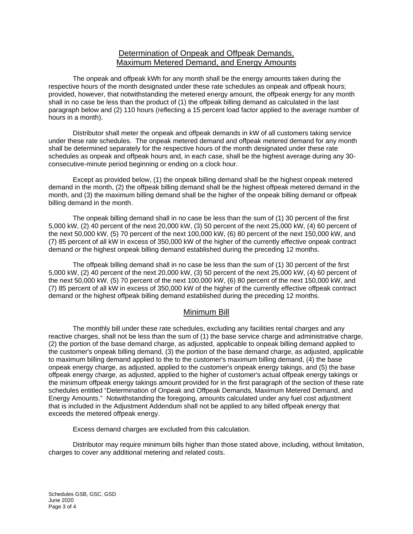## Determination of Onpeak and Offpeak Demands, Maximum Metered Demand, and Energy Amounts

The onpeak and offpeak kWh for any month shall be the energy amounts taken during the respective hours of the month designated under these rate schedules as onpeak and offpeak hours; provided, however, that notwithstanding the metered energy amount, the offpeak energy for any month shall in no case be less than the product of (1) the offpeak billing demand as calculated in the last paragraph below and (2) 110 hours (reflecting a 15 percent load factor applied to the average number of hours in a month).

Distributor shall meter the onpeak and offpeak demands in kW of all customers taking service under these rate schedules. The onpeak metered demand and offpeak metered demand for any month shall be determined separately for the respective hours of the month designated under these rate schedules as onpeak and offpeak hours and, in each case, shall be the highest average during any 30 consecutive-minute period beginning or ending on a clock hour.

Except as provided below, (1) the onpeak billing demand shall be the highest onpeak metered demand in the month, (2) the offpeak billing demand shall be the highest offpeak metered demand in the month, and (3) the maximum billing demand shall be the higher of the onpeak billing demand or offpeak billing demand in the month.

The onpeak billing demand shall in no case be less than the sum of (1) 30 percent of the first 5,000 kW, (2) 40 percent of the next 20,000 kW, (3) 50 percent of the next 25,000 kW, (4) 60 percent of the next 50,000 kW, (5) 70 percent of the next 100,000 kW, (6) 80 percent of the next 150,000 kW, and (7) 85 percent of all kW in excess of 350,000 kW of the higher of the currently effective onpeak contract demand or the highest onpeak billing demand established during the preceding 12 months.

The offpeak billing demand shall in no case be less than the sum of (1) 30 percent of the first 5,000 kW, (2) 40 percent of the next 20,000 kW, (3) 50 percent of the next 25,000 kW, (4) 60 percent of the next 50,000 kW, (5) 70 percent of the next 100,000 kW, (6) 80 percent of the next 150,000 kW, and (7) 85 percent of all kW in excess of 350,000 kW of the higher of the currently effective offpeak contract demand or the highest offpeak billing demand established during the preceding 12 months.

## Minimum Bill

The monthly bill under these rate schedules, excluding any facilities rental charges and any reactive charges, shall not be less than the sum of (1) the base service charge and administrative charge, (2) the portion of the base demand charge, as adjusted, applicable to onpeak billing demand applied to the customer's onpeak billing demand, (3) the portion of the base demand charge, as adjusted, applicable to maximum billing demand applied to the to the customer's maximum billing demand, (4) the base onpeak energy charge, as adjusted, applied to the customer's onpeak energy takings, and (5) the base offpeak energy charge, as adjusted, applied to the higher of customer's actual offpeak energy takings or the minimum offpeak energy takings amount provided for in the first paragraph of the section of these rate schedules entitled "Determination of Onpeak and Offpeak Demands, Maximum Metered Demand, and Energy Amounts." Notwithstanding the foregoing, amounts calculated under any fuel cost adjustment that is included in the Adjustment Addendum shall not be applied to any billed offpeak energy that exceeds the metered offpeak energy.

Excess demand charges are excluded from this calculation.

Distributor may require minimum bills higher than those stated above, including, without limitation, charges to cover any additional metering and related costs.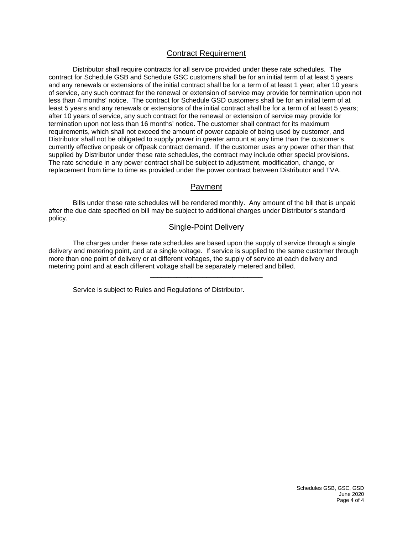## Contract Requirement

Distributor shall require contracts for all service provided under these rate schedules. The contract for Schedule GSB and Schedule GSC customers shall be for an initial term of at least 5 years and any renewals or extensions of the initial contract shall be for a term of at least 1 year; after 10 years of service, any such contract for the renewal or extension of service may provide for termination upon not less than 4 months' notice. The contract for Schedule GSD customers shall be for an initial term of at least 5 years and any renewals or extensions of the initial contract shall be for a term of at least 5 years; after 10 years of service, any such contract for the renewal or extension of service may provide for termination upon not less than 16 months' notice. The customer shall contract for its maximum requirements, which shall not exceed the amount of power capable of being used by customer, and Distributor shall not be obligated to supply power in greater amount at any time than the customer's currently effective onpeak or offpeak contract demand. If the customer uses any power other than that supplied by Distributor under these rate schedules, the contract may include other special provisions. The rate schedule in any power contract shall be subject to adjustment, modification, change, or replacement from time to time as provided under the power contract between Distributor and TVA.

## Payment

Bills under these rate schedules will be rendered monthly. Any amount of the bill that is unpaid after the due date specified on bill may be subject to additional charges under Distributor's standard policy.

#### Single-Point Delivery

The charges under these rate schedules are based upon the supply of service through a single delivery and metering point, and at a single voltage. If service is supplied to the same customer through more than one point of delivery or at different voltages, the supply of service at each delivery and metering point and at each different voltage shall be separately metered and billed.

\_\_\_\_\_\_\_\_\_\_\_\_\_\_\_\_\_\_\_\_\_\_\_\_\_\_\_\_\_\_

Service is subject to Rules and Regulations of Distributor.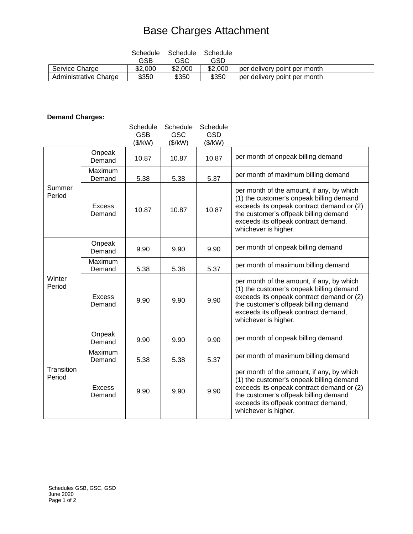# Base Charges Attachment

|                       | Schedule | Schedule | Schedule |                              |
|-----------------------|----------|----------|----------|------------------------------|
|                       | GSB      | GSC      | GSD      |                              |
| Service Charge        | \$2,000  | \$2,000  | \$2,000  | per delivery point per month |
| Administrative Charge | \$350    | \$350    | \$350    | per delivery point per month |

# **Demand Charges:**

|                      |                         | Schedule<br><b>GSB</b><br>(\$/kW) | Schedule<br><b>GSC</b><br>(\$/kW) | Schedule<br><b>GSD</b><br>(\$/kW) |                                                                                                                                                                                                                                             |
|----------------------|-------------------------|-----------------------------------|-----------------------------------|-----------------------------------|---------------------------------------------------------------------------------------------------------------------------------------------------------------------------------------------------------------------------------------------|
| Summer<br>Period     | Onpeak<br>Demand        | 10.87                             | 10.87                             | 10.87                             | per month of onpeak billing demand                                                                                                                                                                                                          |
|                      | Maximum<br>Demand       | 5.38                              | 5.38                              | 5.37                              | per month of maximum billing demand                                                                                                                                                                                                         |
|                      | <b>Excess</b><br>Demand | 10.87                             | 10.87                             | 10.87                             | per month of the amount, if any, by which<br>(1) the customer's onpeak billing demand<br>exceeds its onpeak contract demand or (2)<br>the customer's offpeak billing demand<br>exceeds its offpeak contract demand,<br>whichever is higher. |
| Winter<br>Period     | Onpeak<br>Demand        | 9.90                              | 9.90                              | 9.90                              | per month of onpeak billing demand                                                                                                                                                                                                          |
|                      | Maximum<br>Demand       | 5.38                              | 5.38                              | 5.37                              | per month of maximum billing demand                                                                                                                                                                                                         |
|                      | <b>Excess</b><br>Demand | 9.90                              | 9.90                              | 9.90                              | per month of the amount, if any, by which<br>(1) the customer's onpeak billing demand<br>exceeds its onpeak contract demand or (2)<br>the customer's offpeak billing demand<br>exceeds its offpeak contract demand,<br>whichever is higher. |
| Transition<br>Period | Onpeak<br>Demand        | 9.90                              | 9.90                              | 9.90                              | per month of onpeak billing demand                                                                                                                                                                                                          |
|                      | Maximum<br>Demand       | 5.38                              | 5.38                              | 5.37                              | per month of maximum billing demand                                                                                                                                                                                                         |
|                      | <b>Excess</b><br>Demand | 9.90                              | 9.90                              | 9.90                              | per month of the amount, if any, by which<br>(1) the customer's onpeak billing demand<br>exceeds its onpeak contract demand or (2)<br>the customer's offpeak billing demand<br>exceeds its offpeak contract demand,<br>whichever is higher. |